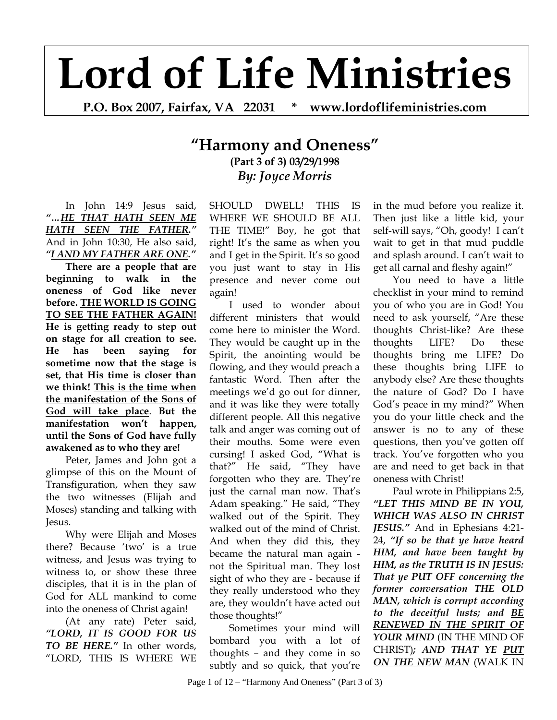## **Lord of Life Ministries**

**P.O. Box 2007, Fairfax, VA 22031 \* www.lordoflifeministries.com** 

## **"Harmony and Oneness" (Part 3 of 3) 03/29/1998**  *By: Joyce Morris*

In John 14:9 Jesus said, *"…HE THAT HATH SEEN ME HATH SEEN THE FATHER."* And in John 10:30, He also said, *"I AND MY FATHER ARE ONE."*

**There are a people that are beginning to walk in the oneness of God like never before. THE WORLD IS GOING TO SEE THE FATHER AGAIN! He is getting ready to step out on stage for all creation to see. He has been saying for sometime now that the stage is set, that His time is closer than we think! This is the time when the manifestation of the Sons of God will take place**. **But the manifestation won't happen, until the Sons of God have fully awakened as to who they are!**

Peter, James and John got a glimpse of this on the Mount of Transfiguration, when they saw the two witnesses (Elijah and Moses) standing and talking with Jesus.

Why were Elijah and Moses there? Because 'two' is a true witness, and Jesus was trying to witness to, or show these three disciples, that it is in the plan of God for ALL mankind to come into the oneness of Christ again!

(At any rate) Peter said, *"LORD, IT IS GOOD FOR US TO BE HERE."* In other words, "LORD, THIS IS WHERE WE SHOULD DWELL! THIS IS WHERE WE SHOULD BE ALL THE TIME!" Boy, he got that right! It's the same as when you and I get in the Spirit. It's so good you just want to stay in His presence and never come out again!

I used to wonder about different ministers that would come here to minister the Word. They would be caught up in the Spirit, the anointing would be flowing, and they would preach a fantastic Word. Then after the meetings we'd go out for dinner, and it was like they were totally different people. All this negative talk and anger was coming out of their mouths. Some were even cursing! I asked God, "What is that?" He said, "They have forgotten who they are. They're just the carnal man now. That's Adam speaking." He said, "They walked out of the Spirit. They walked out of the mind of Christ. And when they did this, they became the natural man again not the Spiritual man. They lost sight of who they are - because if they really understood who they are, they wouldn't have acted out those thoughts!"

Sometimes your mind will bombard you with a lot of thoughts – and they come in so subtly and so quick, that you're

in the mud before you realize it. Then just like a little kid, your self-will says, "Oh, goody! I can't wait to get in that mud puddle and splash around. I can't wait to get all carnal and fleshy again!"

You need to have a little checklist in your mind to remind you of who you are in God! You need to ask yourself, "Are these thoughts Christ-like? Are these thoughts LIFE? Do these thoughts bring me LIFE? Do these thoughts bring LIFE to anybody else? Are these thoughts the nature of God? Do I have God's peace in my mind?" When you do your little check and the answer is no to any of these questions, then you've gotten off track. You've forgotten who you are and need to get back in that oneness with Christ!

Paul wrote in Philippians 2:5, *"LET THIS MIND BE IN YOU, WHICH WAS ALSO IN CHRIST JESUS."* And in Ephesians 4:21- 24, *"If so be that ye have heard HIM, and have been taught by HIM, as the TRUTH IS IN JESUS: That ye PUT OFF concerning the former conversation THE OLD MAN, which is corrupt according to the deceitful lusts; and BE RENEWED IN THE SPIRIT OF YOUR MIND* (IN THE MIND OF CHRIST)*; AND THAT YE PUT ON THE NEW MAN* (WALK IN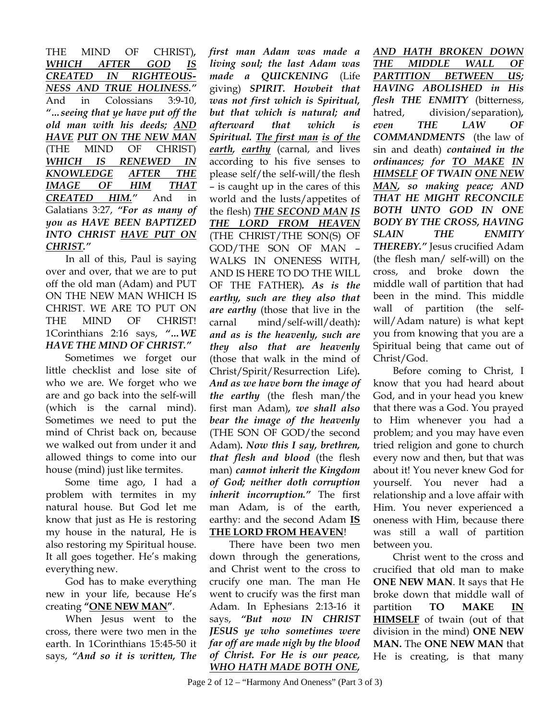THE MIND OF CHRIST)*, WHICH AFTER GOD IS CREATED IN RIGHTEOUS-NESS AND TRUE HOLINESS."* And in Colossians 3:9-10, *"…seeing that ye have put off the old man with his deeds; AND HAVE PUT ON THE NEW MAN* (THE MIND OF CHRIST) *WHICH IS RENEWED IN KNOWLEDGE AFTER THE IMAGE OF HIM THAT CREATED HIM."* And in Galatians 3:27, *"For as many of you as HAVE BEEN BAPTIZED INTO CHRIST HAVE PUT ON CHRIST."* 

In all of this, Paul is saying over and over, that we are to put off the old man (Adam) and PUT ON THE NEW MAN WHICH IS CHRIST. WE ARE TO PUT ON THE MIND OF CHRIST! 1Corinthians 2:16 says, *"…WE HAVE THE MIND OF CHRIST."* 

Sometimes we forget our little checklist and lose site of who we are. We forget who we are and go back into the self-will (which is the carnal mind). Sometimes we need to put the mind of Christ back on, because we walked out from under it and allowed things to come into our house (mind) just like termites.

Some time ago, I had a problem with termites in my natural house. But God let me know that just as He is restoring my house in the natural, He is also restoring my Spiritual house. It all goes together. He's making everything new.

God has to make everything new in your life, because He's creating **"ONE NEW MAN"**.

When Jesus went to the cross, there were two men in the earth. In 1Corinthians 15:45-50 it says, *"And so it is written, The*  *first man Adam was made a living soul; the last Adam was made a QUICKENING* (Life giving) *SPIRIT. Howbeit that was not first which is Spiritual, but that which is natural; and afterward that which is Spiritual. The first man is of the earth, earthy* (carnal, and lives according to his five senses to please self/the self-will/the flesh – is caught up in the cares of this world and the lusts/appetites of the flesh) *THE SECOND MAN IS THE LORD FROM HEAVEN* (THE CHRIST/THE SON(S) OF GOD/THE SON OF MAN – WALKS IN ONENESS WITH, AND IS HERE TO DO THE WILL OF THE FATHER)*. As is the earthy, such are they also that are earthy* (those that live in the carnal mind/self-will/death)*: and as is the heavenly, such are they also that are heavenly*  (those that walk in the mind of Christ/Spirit/Resurrection Life)*. And as we have born the image of the earthy* (the flesh man/the first man Adam)*, we shall also bear the image of the heavenly*  (THE SON OF GOD/the second Adam)*. Now this I say, brethren, that flesh and blood* (the flesh man) *cannot inherit the Kingdom of God; neither doth corruption inherit incorruption."* The first man Adam, is of the earth, earthy: and the second Adam **IS THE LORD FROM HEAVEN**!

There have been two men down through the generations, and Christ went to the cross to crucify one man. The man He went to crucify was the first man Adam. In Ephesians 2:13-16 it says, *"But now IN CHRIST JESUS ye who sometimes were far off are made nigh by the blood of Christ. For He is our peace, WHO HATH MADE BOTH ONE,* 

*AND HATH BROKEN DOWN THE MIDDLE WALL OF PARTITION BETWEEN US; HAVING ABOLISHED in His flesh THE ENMITY* (bitterness, hatred, division/separation)*, even THE LAW OF COMMANDMENTS* (the law of sin and death) *contained in the ordinances; for TO MAKE IN HIMSELF OF TWAIN ONE NEW MAN, so making peace; AND THAT HE MIGHT RECONCILE BOTH UNTO GOD IN ONE BODY BY THE CROSS, HAVING SLAIN THE ENMITY THEREBY."* Jesus crucified Adam (the flesh man/ self-will) on the cross, and broke down the middle wall of partition that had been in the mind. This middle wall of partition (the selfwill/Adam nature) is what kept you from knowing that you are a Spiritual being that came out of Christ/God.

Before coming to Christ, I know that you had heard about God, and in your head you knew that there was a God. You prayed to Him whenever you had a problem; and you may have even tried religion and gone to church every now and then, but that was about it! You never knew God for yourself. You never had a relationship and a love affair with Him. You never experienced a oneness with Him, because there was still a wall of partition between you.

Christ went to the cross and crucified that old man to make **ONE NEW MAN**. It says that He broke down that middle wall of partition **TO MAKE IN HIMSELF** of twain (out of that division in the mind) **ONE NEW MAN.** The **ONE NEW MAN** that He is creating, is that many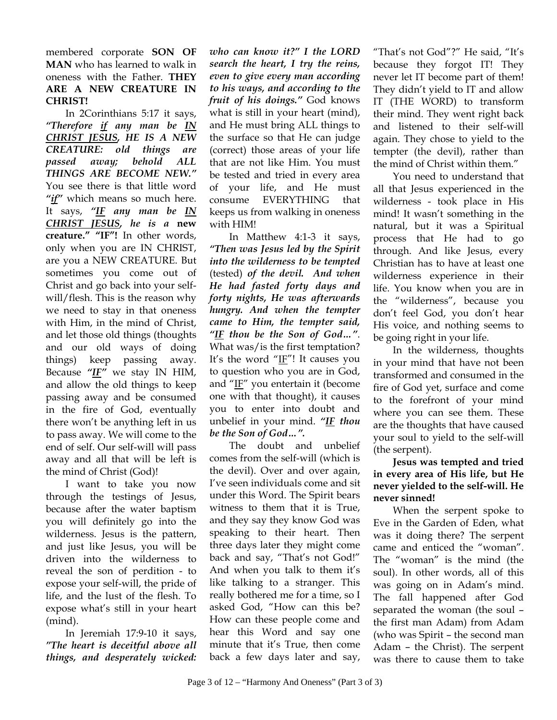membered corporate **SON OF MAN** who has learned to walk in oneness with the Father. **THEY ARE A NEW CREATURE IN CHRIST!**

In 2Corinthians 5:17 it says, *"Therefore if any man be IN CHRIST JESUS, HE IS A NEW CREATURE: old things are passed away; behold ALL THINGS ARE BECOME NEW."* You see there is that little word *"if"* which means so much here. It says, *"IF any man be IN CHRIST JESUS, he is a* **new creature." "IF"!** In other words, only when you are IN CHRIST, are you a NEW CREATURE. But sometimes you come out of Christ and go back into your selfwill/flesh. This is the reason why we need to stay in that oneness with Him, in the mind of Christ, and let those old things (thoughts and our old ways of doing things) keep passing away. Because *"IF"* we stay IN HIM, and allow the old things to keep passing away and be consumed in the fire of God, eventually there won't be anything left in us to pass away. We will come to the end of self. Our self-will will pass away and all that will be left is the mind of Christ (God)!

I want to take you now through the testings of Jesus, because after the water baptism you will definitely go into the wilderness. Jesus is the pattern, and just like Jesus, you will be driven into the wilderness to reveal the son of perdition - to expose your self-will, the pride of life, and the lust of the flesh. To expose what's still in your heart (mind).

In Jeremiah 17:9-10 it says, *"The heart is deceitful above all things, and desperately wicked:* 

*who can know it?" I the LORD search the heart, I try the reins, even to give every man according to his ways, and according to the fruit of his doings."* God knows what is still in your heart (mind), and He must bring ALL things to the surface so that He can judge (correct) those areas of your life that are not like Him. You must be tested and tried in every area of your life, and He must consume EVERYTHING that keeps us from walking in oneness with HIM!

In Matthew 4:1-3 it says, *"Then was Jesus led by the Spirit into the wilderness to be tempted* (tested) *of the devil. And when He had fasted forty days and forty nights, He was afterwards hungry. And when the tempter came to Him, the tempter said, "IF thou be the Son of God…"*. What was/is the first temptation? It's the word " $I$ F"! It causes you to question who you are in God, and " $I$ F" you entertain it (become one with that thought), it causes you to enter into doubt and unbelief in your mind. *"IF thou be the Son of God…".* 

The doubt and unbelief comes from the self-will (which is the devil). Over and over again, I've seen individuals come and sit under this Word. The Spirit bears witness to them that it is True, and they say they know God was speaking to their heart. Then three days later they might come back and say, "That's not God!" And when you talk to them it's like talking to a stranger. This really bothered me for a time, so I asked God, "How can this be? How can these people come and hear this Word and say one minute that it's True, then come back a few days later and say,

"That's not God"?" He said, "It's because they forgot IT! They never let IT become part of them! They didn't yield to IT and allow IT (THE WORD) to transform their mind. They went right back and listened to their self-will again. They chose to yield to the tempter (the devil), rather than the mind of Christ within them."

You need to understand that all that Jesus experienced in the wilderness - took place in His mind! It wasn't something in the natural, but it was a Spiritual process that He had to go through. And like Jesus, every Christian has to have at least one wilderness experience in their life. You know when you are in the "wilderness", because you don't feel God, you don't hear His voice, and nothing seems to be going right in your life.

In the wilderness, thoughts in your mind that have not been transformed and consumed in the fire of God yet, surface and come to the forefront of your mind where you can see them. These are the thoughts that have caused your soul to yield to the self-will (the serpent).

## **Jesus was tempted and tried in every area of His life, but He never yielded to the self-will. He never sinned!**

When the serpent spoke to Eve in the Garden of Eden, what was it doing there? The serpent came and enticed the "woman". The "woman" is the mind (the soul). In other words, all of this was going on in Adam's mind. The fall happened after God separated the woman (the soul – the first man Adam) from Adam (who was Spirit – the second man Adam – the Christ). The serpent was there to cause them to take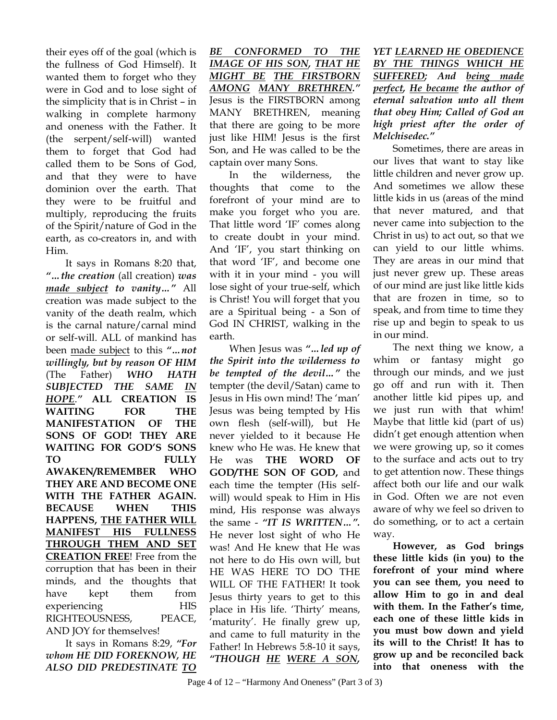their eyes off of the goal (which is the fullness of God Himself). It wanted them to forget who they were in God and to lose sight of the simplicity that is in Christ – in walking in complete harmony and oneness with the Father. It (the serpent/self-will) wanted them to forget that God had called them to be Sons of God, and that they were to have dominion over the earth. That they were to be fruitful and multiply, reproducing the fruits of the Spirit/nature of God in the earth, as co-creators in, and with Him.

It says in Romans 8:20 that, *"…the creation* (all creation) *was made subject to vanity…"* All creation was made subject to the vanity of the death realm, which is the carnal nature/carnal mind or self-will. ALL of mankind has been made subject to this *"…not willingly, but by reason OF HIM*  (The Father) *WHO HATH SUBJECTED THE SAME IN HOPE*.*"* **ALL CREATION IS WAITING FOR THE MANIFESTATION OF THE SONS OF GOD! THEY ARE WAITING FOR GOD'S SONS TO FULLY AWAKEN/REMEMBER WHO THEY ARE AND BECOME ONE WITH THE FATHER AGAIN. BECAUSE WHEN THIS HAPPENS, THE FATHER WILL MANIFEST HIS FULLNESS THROUGH THEM AND SET CREATION FREE**! Free from the corruption that has been in their minds, and the thoughts that have kept them from experiencing HIS RIGHTEOUSNESS, PEACE, AND JOY for themselves!

It says in Romans 8:29, *"For whom HE DID FOREKNOW, HE ALSO DID PREDESTINATE TO*  *BE CONFORMED TO THE IMAGE OF HIS SON, THAT HE MIGHT BE THE FIRSTBORN AMONG MANY BRETHREN."*  Jesus is the FIRSTBORN among MANY BRETHREN, meaning that there are going to be more just like HIM! Jesus is the first Son, and He was called to be the captain over many Sons.

In the wilderness, the thoughts that come to the forefront of your mind are to make you forget who you are. That little word 'IF' comes along to create doubt in your mind. And 'IF', you start thinking on that word 'IF', and become one with it in your mind - you will lose sight of your true-self, which is Christ! You will forget that you are a Spiritual being - a Son of God IN CHRIST, walking in the earth.

When Jesus was *"…led up of the Spirit into the wilderness to be tempted of the devil…"* the tempter (the devil/Satan) came to Jesus in His own mind! The 'man' Jesus was being tempted by His own flesh (self-will), but He never yielded to it because He knew who He was. He knew that He was **THE WORD OF GOD/THE SON OF GOD,** and each time the tempter (His selfwill) would speak to Him in His mind, His response was always the same - *"IT IS WRITTEN…".*  He never lost sight of who He was! And He knew that He was not here to do His own will, but HE WAS HERE TO DO THE WILL OF THE FATHER! It took Jesus thirty years to get to this place in His life. 'Thirty' means, 'maturity'. He finally grew up, and came to full maturity in the Father! In Hebrews 5:8-10 it says, *"THOUGH HE WERE A SON,* 

*YET LEARNED HE OBEDIENCE BY THE THINGS WHICH HE SUFFERED; And being made perfect, He became the author of eternal salvation unto all them that obey Him; Called of God an high priest after the order of Melchisedec."* 

Sometimes, there are areas in our lives that want to stay like little children and never grow up. And sometimes we allow these little kids in us (areas of the mind that never matured, and that never came into subjection to the Christ in us) to act out, so that we can yield to our little whims. They are areas in our mind that just never grew up. These areas of our mind are just like little kids that are frozen in time, so to speak, and from time to time they rise up and begin to speak to us in our mind.

The next thing we know, a whim or fantasy might go through our minds, and we just go off and run with it. Then another little kid pipes up, and we just run with that whim! Maybe that little kid (part of us) didn't get enough attention when we were growing up, so it comes to the surface and acts out to try to get attention now. These things affect both our life and our walk in God. Often we are not even aware of why we feel so driven to do something, or to act a certain way.

**However, as God brings these little kids (in you) to the forefront of your mind where you can see them, you need to allow Him to go in and deal with them. In the Father's time, each one of these little kids in you must bow down and yield its will to the Christ! It has to grow up and be reconciled back into that oneness with the**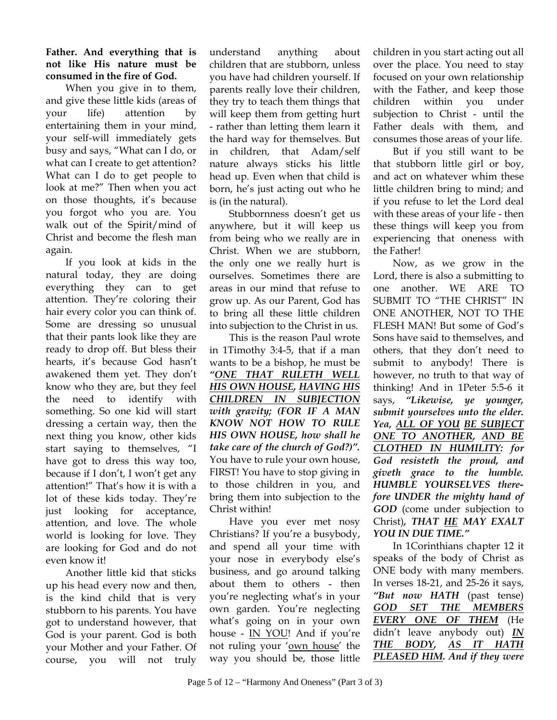## **Father. And everything that is not like His nature must be consumed in the fire of God.**

When you give in to them, and give these little kids (areas of your life) attention by entertaining them in your mind, your self-will immediately gets busy and says, "What can I do, or what can I create to get attention? What can I do to get people to look at me?" Then when you act on those thoughts, it's because you forgot who you are. You walk out of the Spirit/mind of Christ and become the flesh man again.

If you look at kids in the natural today, they are doing everything they can to get attention. They're coloring their hair every color you can think of. Some are dressing so unusual that their pants look like they are ready to drop off. But bless their hearts, it's because God hasn't awakened them yet. They don't know who they are, but they feel the need to identify with something. So one kid will start dressing a certain way, then the next thing you know, other kids start saying to themselves, "I have got to dress this way too, because if I don't, I won't get any attention!" That's how it is with a lot of these kids today. They're just looking for acceptance, attention, and love. The whole world is looking for love. They are looking for God and do not even know it!

Another little kid that sticks up his head every now and then, is the kind child that is very stubborn to his parents. You have got to understand however, that God is your parent. God is both your Mother and your Father. Of course, you will not truly

understand anything about children that are stubborn, unless you have had children yourself. If parents really love their children, they try to teach them things that will keep them from getting hurt - rather than letting them learn it the hard way for themselves. But in children, that Adam/self nature always sticks his little head up. Even when that child is born, he's just acting out who he is (in the natural).

Stubbornness doesn't get us anywhere, but it will keep us from being who we really are in Christ. When we are stubborn, the only one we really hurt is ourselves. Sometimes there are areas in our mind that refuse to grow up. As our Parent, God has to bring all these little children into subjection to the Christ in us.

This is the reason Paul wrote in 1Timothy 3:4-5, that if a man wants to be a bishop, he must be *"ONE THAT RULETH WELL HIS OWN HOUSE, HAVING HIS CHILDREN IN SUBJECTION with gravity; (FOR IF A MAN KNOW NOT HOW TO RULE HIS OWN HOUSE, how shall he take care of the church of God?)".*  You have to rule your own house, FIRST! You have to stop giving in to those children in you, and bring them into subjection to the Christ within!

Have you ever met nosy Christians? If you're a busybody, and spend all your time with your nose in everybody else's business, and go around talking about them to others - then you're neglecting what's in your own garden. You're neglecting what's going on in your own house - IN YOU! And if you're not ruling your 'own house' the way you should be, those little

children in you start acting out all over the place. You need to stay focused on your own relationship with the Father, and keep those children within you under subjection to Christ - until the Father deals with them, and consumes those areas of your life.

But if you still want to be that stubborn little girl or boy, and act on whatever whim these little children bring to mind; and if you refuse to let the Lord deal with these areas of your life - then these things will keep you from experiencing that oneness with the Father!

Now, as we grow in the Lord, there is also a submitting to one another. WE ARE TO SUBMIT TO "THE CHRIST" IN ONE ANOTHER, NOT TO THE FLESH MAN! But some of God's Sons have said to themselves, and others, that they don't need to submit to anybody! There is however, no truth to that way of thinking! And in 1Peter 5:5-6 it says, *"Likewise, ye younger, submit yourselves unto the elder. Yea, ALL OF YOU BE SUBJECT ONE TO ANOTHER, AND BE CLOTHED IN HUMILITY: for God resisteth the proud, and giveth grace to the humble. HUMBLE YOURSELVES therefore UNDER the mighty hand of GOD* (come under subjection to Christ)*, THAT HE MAY EXALT YOU IN DUE TIME."*

In 1Corinthians chapter 12 it speaks of the body of Christ as ONE body with many members. In verses 18-21, and 25-26 it says, *"But now HATH* (past tense) *GOD SET THE MEMBERS EVERY ONE OF THEM* (He didn't leave anybody out) *IN THE BODY, AS IT HATH PLEASED HIM. And if they were*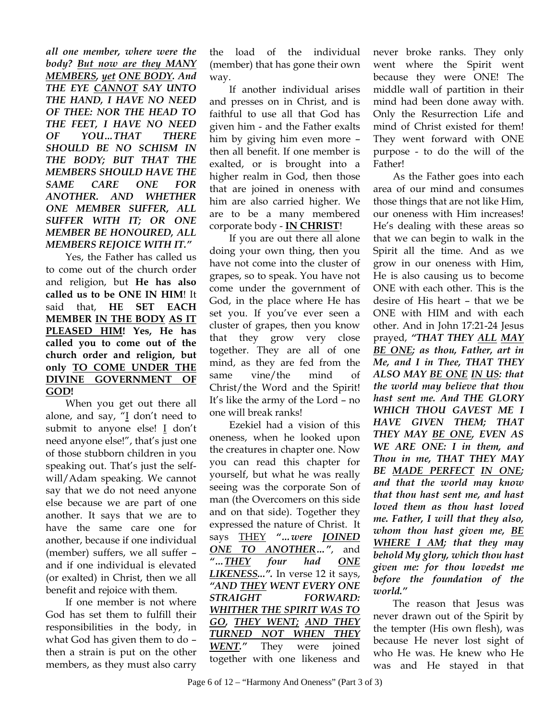*all one member, where were the body? But now are they MANY MEMBERS, yet ONE BODY. And THE EYE CANNOT SAY UNTO THE HAND, I HAVE NO NEED OF THEE: NOR THE HEAD TO THE FEET, I HAVE NO NEED OF YOU…THAT THERE SHOULD BE NO SCHISM IN THE BODY; BUT THAT THE MEMBERS SHOULD HAVE THE SAME CARE ONE FOR ANOTHER. AND WHETHER ONE MEMBER SUFFER, ALL SUFFER WITH IT; OR ONE MEMBER BE HONOURED, ALL MEMBERS REJOICE WITH IT."* 

Yes, the Father has called us to come out of the church order and religion, but **He has also called us to be ONE IN HIM**! It said that, **HE SET EACH MEMBER IN THE BODY AS IT PLEASED HIM! Yes, He has called you to come out of the church order and religion, but only TO COME UNDER THE DIVINE GOVERNMENT OF GOD!**

When you get out there all alone, and say, "I don't need to submit to anyone else! I don't need anyone else!", that's just one of those stubborn children in you speaking out. That's just the selfwill/Adam speaking. We cannot say that we do not need anyone else because we are part of one another. It says that we are to have the same care one for another, because if one individual (member) suffers, we all suffer – and if one individual is elevated (or exalted) in Christ, then we all benefit and rejoice with them.

If one member is not where God has set them to fulfill their responsibilities in the body, in what God has given them to do – then a strain is put on the other members, as they must also carry

the load of the individual (member) that has gone their own way.

If another individual arises and presses on in Christ, and is faithful to use all that God has given him - and the Father exalts him by giving him even more – then all benefit. If one member is exalted, or is brought into a higher realm in God, then those that are joined in oneness with him are also carried higher. We are to be a many membered corporate body - **IN CHRIST**!

If you are out there all alone doing your own thing, then you have not come into the cluster of grapes, so to speak. You have not come under the government of God, in the place where He has set you. If you've ever seen a cluster of grapes, then you know that they grow very close together. They are all of one mind, as they are fed from the same vine/the mind of Christ/the Word and the Spirit! It's like the army of the Lord – no one will break ranks!

Ezekiel had a vision of this oneness, when he looked upon the creatures in chapter one. Now you can read this chapter for yourself, but what he was really seeing was the corporate Son of man (the Overcomers on this side and on that side). Together they expressed the nature of Christ. It says THEY *"…were JOINED ONE TO ANOTHER…"*, and *"…THEY four had ONE LIKENESS...".* In verse 12 it says, *"AND THEY WENT EVERY ONE STRAIGHT FORWARD: WHITHER THE SPIRIT WAS TO GO, THEY WENT; AND THEY TURNED NOT WHEN THEY WENT."* They were joined together with one likeness and

never broke ranks. They only went where the Spirit went because they were ONE! The middle wall of partition in their mind had been done away with. Only the Resurrection Life and mind of Christ existed for them! They went forward with ONE purpose - to do the will of the Father!

As the Father goes into each area of our mind and consumes those things that are not like Him, our oneness with Him increases! He's dealing with these areas so that we can begin to walk in the Spirit all the time. And as we grow in our oneness with Him, He is also causing us to become ONE with each other. This is the desire of His heart – that we be ONE with HIM and with each other. And in John 17:21-24 Jesus prayed, *"THAT THEY ALL MAY BE ONE; as thou, Father, art in Me, and I in Thee, THAT THEY ALSO MAY BE ONE IN US: that the world may believe that thou hast sent me. And THE GLORY WHICH THOU GAVEST ME I HAVE GIVEN THEM; THAT THEY MAY BE ONE, EVEN AS WE ARE ONE: I in them, and Thou in me, THAT THEY MAY BE MADE PERFECT IN ONE; and that the world may know that thou hast sent me, and hast loved them as thou hast loved me. Father, I will that they also, whom thou hast given me, BE WHERE I AM; that they may behold My glory, which thou hast given me: for thou lovedst me before the foundation of the world."* 

The reason that Jesus was never drawn out of the Spirit by the tempter (His own flesh), was because He never lost sight of who He was. He knew who He was and He stayed in that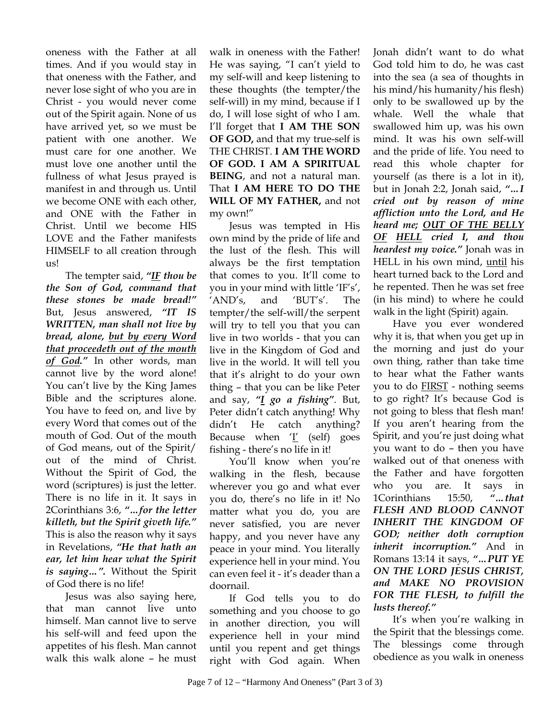oneness with the Father at all times. And if you would stay in that oneness with the Father, and never lose sight of who you are in Christ - you would never come out of the Spirit again. None of us have arrived yet, so we must be patient with one another. We must care for one another. We must love one another until the fullness of what Jesus prayed is manifest in and through us. Until we become ONE with each other, and ONE with the Father in Christ. Until we become HIS LOVE and the Father manifests HIMSELF to all creation through us!

The tempter said, *"IF thou be the Son of God, command that these stones be made bread!"* But, Jesus answered, *"IT IS WRITTEN, man shall not live by bread, alone, but by every Word that proceedeth out of the mouth of God."* In other words, man cannot live by the word alone! You can't live by the King James Bible and the scriptures alone. You have to feed on, and live by every Word that comes out of the mouth of God. Out of the mouth of God means, out of the Spirit/ out of the mind of Christ. Without the Spirit of God, the word (scriptures) is just the letter. There is no life in it. It says in 2Corinthians 3:6, *"…for the letter killeth, but the Spirit giveth life."*  This is also the reason why it says in Revelations, *"He that hath an ear, let him hear what the Spirit is saying…".* Without the Spirit of God there is no life!

Jesus was also saying here, that man cannot live unto himself. Man cannot live to serve his self-will and feed upon the appetites of his flesh. Man cannot walk this walk alone – he must

walk in oneness with the Father! He was saying, "I can't yield to my self-will and keep listening to these thoughts (the tempter/the self-will) in my mind, because if I do, I will lose sight of who I am. I'll forget that **I AM THE SON OF GOD,** and that my true-self is THE CHRIST. **I AM THE WORD OF GOD. I AM A SPIRITUAL BEING**, and not a natural man. That **I AM HERE TO DO THE WILL OF MY FATHER,** and not my own!"

Jesus was tempted in His own mind by the pride of life and the lust of the flesh. This will always be the first temptation that comes to you. It'll come to you in your mind with little 'IF's', 'AND's, and 'BUT's'. The tempter/the self-will/the serpent will try to tell you that you can live in two worlds - that you can live in the Kingdom of God and live in the world. It will tell you that it's alright to do your own thing – that you can be like Peter and say, *"I go a fishing"*. But, Peter didn't catch anything! Why didn't He catch anything? Because when  $I'$  (self) goes fishing - there's no life in it!

You'll know when you're walking in the flesh, because wherever you go and what ever you do, there's no life in it! No matter what you do, you are never satisfied, you are never happy, and you never have any peace in your mind. You literally experience hell in your mind. You can even feel it - it's deader than a doornail.

If God tells you to do something and you choose to go in another direction, you will experience hell in your mind until you repent and get things right with God again. When

Jonah didn't want to do what God told him to do, he was cast into the sea (a sea of thoughts in his mind/his humanity/his flesh) only to be swallowed up by the whale. Well the whale that swallowed him up, was his own mind. It was his own self-will and the pride of life. You need to read this whole chapter for yourself (as there is a lot in it), but in Jonah 2:2, Jonah said, *"…I cried out by reason of mine affliction unto the Lord, and He heard me; OUT OF THE BELLY OF HELL cried I, and thou heardest my voice."* Jonah was in HELL in his own mind, until his heart turned back to the Lord and he repented. Then he was set free (in his mind) to where he could walk in the light (Spirit) again.

Have you ever wondered why it is, that when you get up in the morning and just do your own thing, rather than take time to hear what the Father wants you to do FIRST - nothing seems to go right? It's because God is not going to bless that flesh man! If you aren't hearing from the Spirit, and you're just doing what you want to do – then you have walked out of that oneness with the Father and have forgotten who you are. It says in 1Corinthians 15:50, *"…that FLESH AND BLOOD CANNOT INHERIT THE KINGDOM OF GOD; neither doth corruption inherit incorruption."* And in Romans 13:14 it says, *"…PUT YE ON THE LORD JESUS CHRIST, and MAKE NO PROVISION FOR THE FLESH, to fulfill the lusts thereof."* 

It's when you're walking in the Spirit that the blessings come. The blessings come through obedience as you walk in oneness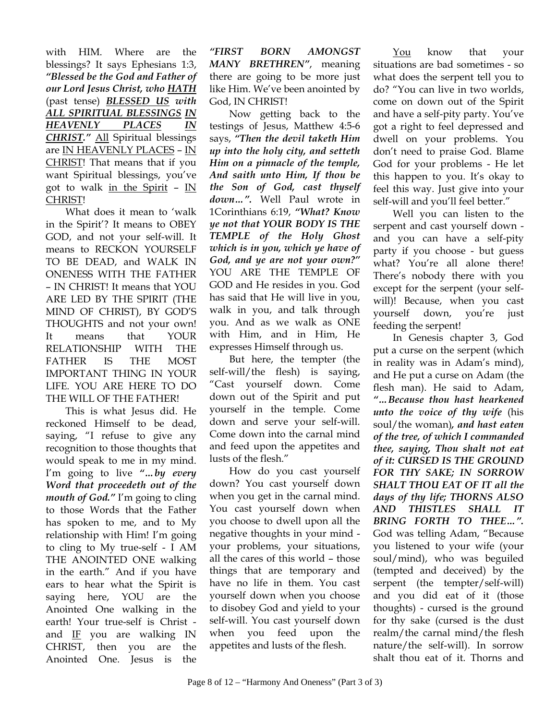with HIM. Where are the blessings? It says Ephesians 1:3, *"Blessed be the God and Father of our Lord Jesus Christ, who HATH* (past tense) *BLESSED US with ALL SPIRITUAL BLESSINGS IN HEAVENLY PLACES IN CHRIST."* All Spiritual blessings are IN HEAVENLY PLACES – IN CHRIST! That means that if you want Spiritual blessings, you've got to walk in the Spirit  $-$  IN CHRIST!

What does it mean to 'walk in the Spirit'? It means to OBEY GOD, and not your self-will. It means to RECKON YOURSELF TO BE DEAD, and WALK IN ONENESS WITH THE FATHER – IN CHRIST! It means that YOU ARE LED BY THE SPIRIT (THE MIND OF CHRIST), BY GOD'S THOUGHTS and not your own! It means that YOUR RELATIONSHIP WITH THE FATHER IS THE MOST IMPORTANT THING IN YOUR LIFE. YOU ARE HERE TO DO THE WILL OF THE FATHER!

This is what Jesus did. He reckoned Himself to be dead, saying, "I refuse to give any recognition to those thoughts that would speak to me in my mind. I'm going to live *"…by every Word that proceedeth out of the mouth of God."* I'm going to cling to those Words that the Father has spoken to me, and to My relationship with Him! I'm going to cling to My true-self - I AM THE ANOINTED ONE walking in the earth." And if you have ears to hear what the Spirit is saying here, YOU are the Anointed One walking in the earth! Your true-self is Christ and IF you are walking IN CHRIST, then you are the Anointed One. Jesus is the

*"FIRST BORN AMONGST MANY BRETHREN"*, meaning there are going to be more just like Him. We've been anointed by God, IN CHRIST!

Now getting back to the testings of Jesus, Matthew 4:5-6 says, *"Then the devil taketh Him up into the holy city, and setteth Him on a pinnacle of the temple, And saith unto Him, If thou be the Son of God, cast thyself down…".* Well Paul wrote in 1Corinthians 6:19, *"What? Know ye not that YOUR BODY IS THE TEMPLE of the Holy Ghost which is in you, which ye have of God, and ye are not your own?"* YOU ARE THE TEMPLE OF GOD and He resides in you. God has said that He will live in you, walk in you, and talk through you. And as we walk as ONE with Him, and in Him, He expresses Himself through us.

But here, the tempter (the self-will/the flesh) is saying, "Cast yourself down. Come down out of the Spirit and put yourself in the temple. Come down and serve your self-will. Come down into the carnal mind and feed upon the appetites and lusts of the flesh."

How do you cast yourself down? You cast yourself down when you get in the carnal mind. You cast yourself down when you choose to dwell upon all the negative thoughts in your mind your problems, your situations, all the cares of this world – those things that are temporary and have no life in them. You cast yourself down when you choose to disobey God and yield to your self-will. You cast yourself down when you feed upon the appetites and lusts of the flesh.

You know that your situations are bad sometimes - so what does the serpent tell you to do? "You can live in two worlds, come on down out of the Spirit and have a self-pity party. You've got a right to feel depressed and dwell on your problems. You don't need to praise God. Blame God for your problems - He let this happen to you. It's okay to feel this way. Just give into your self-will and you'll feel better."

Well you can listen to the serpent and cast yourself down and you can have a self-pity party if you choose - but guess what? You're all alone there! There's nobody there with you except for the serpent (your selfwill)! Because, when you cast yourself down, you're just feeding the serpent!

In Genesis chapter 3, God put a curse on the serpent (which in reality was in Adam's mind), and He put a curse on Adam (the flesh man). He said to Adam, *"…Because thou hast hearkened unto the voice of thy wife* (his soul/the woman)*, and hast eaten of the tree, of which I commanded thee, saying, Thou shalt not eat of it: CURSED IS THE GROUND FOR THY SAKE; IN SORROW SHALT THOU EAT OF IT all the days of thy life; THORNS ALSO AND THISTLES SHALL IT BRING FORTH TO THEE…".* God was telling Adam, "Because you listened to your wife (your soul/mind), who was beguiled (tempted and deceived) by the serpent (the tempter/self-will) and you did eat of it (those thoughts) - cursed is the ground for thy sake (cursed is the dust realm/the carnal mind/the flesh nature/the self-will). In sorrow shalt thou eat of it. Thorns and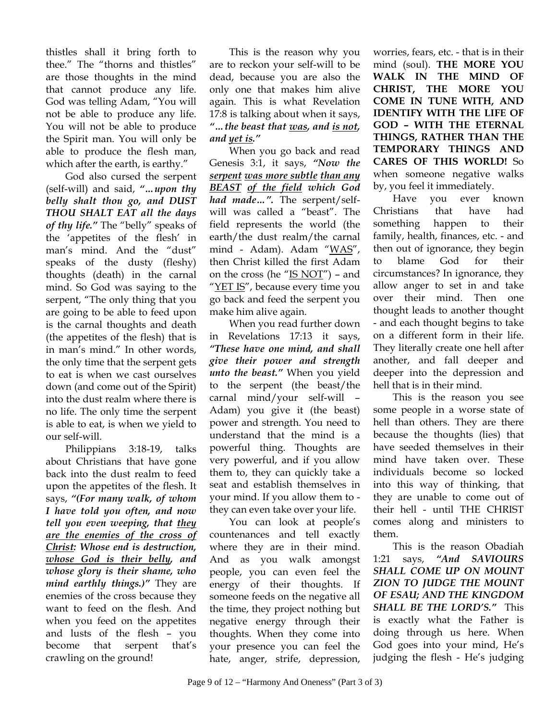thistles shall it bring forth to thee." The "thorns and thistles" are those thoughts in the mind that cannot produce any life. God was telling Adam, "You will not be able to produce any life. You will not be able to produce the Spirit man. You will only be able to produce the flesh man, which after the earth, is earthy."

God also cursed the serpent (self-will) and said, *"…upon thy belly shalt thou go, and DUST THOU SHALT EAT all the days of thy life."* The "belly" speaks of the 'appetites of the flesh' in man's mind. And the "dust" speaks of the dusty (fleshy) thoughts (death) in the carnal mind. So God was saying to the serpent, "The only thing that you are going to be able to feed upon is the carnal thoughts and death (the appetites of the flesh) that is in man's mind." In other words, the only time that the serpent gets to eat is when we cast ourselves down (and come out of the Spirit) into the dust realm where there is no life. The only time the serpent is able to eat, is when we yield to our self-will.

Philippians 3:18-19, talks about Christians that have gone back into the dust realm to feed upon the appetites of the flesh. It says, *"(For many walk, of whom I have told you often, and now tell you even weeping, that they are the enemies of the cross of Christ: Whose end is destruction, whose God is their belly, and whose glory is their shame, who mind earthly things.)"* They are enemies of the cross because they want to feed on the flesh. And when you feed on the appetites and lusts of the flesh – you become that serpent that's crawling on the ground!

This is the reason why you are to reckon your self-will to be dead, because you are also the only one that makes him alive again. This is what Revelation 17:8 is talking about when it says, *"…the beast that was, and is not, and yet is."* 

When you go back and read Genesis 3:1, it says, *"Now the serpent was more subtle than any BEAST of the field which God had made…".* The serpent/selfwill was called a "beast". The field represents the world (the earth/the dust realm/the carnal mind - Adam). Adam "WAS", then Christ killed the first Adam on the cross (he " $IS NOT"$ ) – and "YET IS", because every time you go back and feed the serpent you make him alive again.

When you read further down in Revelations 17:13 it says, *"These have one mind, and shall give their power and strength unto the beast."* When you yield to the serpent (the beast/the carnal mind/your self-will – Adam) you give it (the beast) power and strength. You need to understand that the mind is a powerful thing. Thoughts are very powerful, and if you allow them to, they can quickly take a seat and establish themselves in your mind. If you allow them to they can even take over your life.

You can look at people's countenances and tell exactly where they are in their mind. And as you walk amongst people, you can even feel the energy of their thoughts. If someone feeds on the negative all the time, they project nothing but negative energy through their thoughts. When they come into your presence you can feel the hate, anger, strife, depression,

worries, fears, etc. - that is in their mind (soul). **THE MORE YOU WALK IN THE MIND OF CHRIST, THE MORE YOU COME IN TUNE WITH, AND IDENTIFY WITH THE LIFE OF GOD – WITH THE ETERNAL THINGS, RATHER THAN THE TEMPORARY THINGS AND CARES OF THIS WORLD!** So when someone negative walks by, you feel it immediately.

Have you ever known Christians that have had something happen to their family, health, finances, etc. - and then out of ignorance, they begin to blame God for their circumstances? In ignorance, they allow anger to set in and take over their mind. Then one thought leads to another thought - and each thought begins to take on a different form in their life. They literally create one hell after another, and fall deeper and deeper into the depression and hell that is in their mind.

This is the reason you see some people in a worse state of hell than others. They are there because the thoughts (lies) that have seeded themselves in their mind have taken over. These individuals become so locked into this way of thinking, that they are unable to come out of their hell - until THE CHRIST comes along and ministers to them.

This is the reason Obadiah 1:21 says, *"And SAVIOURS SHALL COME UP ON MOUNT ZION TO JUDGE THE MOUNT OF ESAU; AND THE KINGDOM SHALL BE THE LORD'S."* This is exactly what the Father is doing through us here. When God goes into your mind, He's judging the flesh - He's judging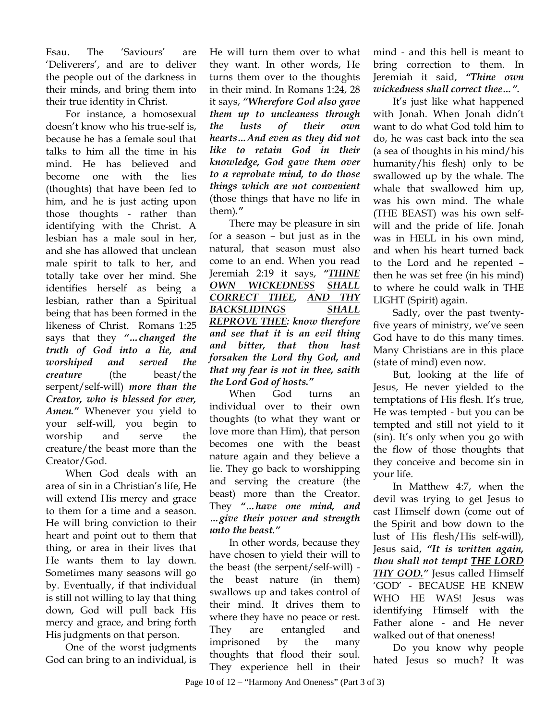Esau. The 'Saviours' are 'Deliverers', and are to deliver the people out of the darkness in their minds, and bring them into their true identity in Christ.

For instance, a homosexual doesn't know who his true-self is, because he has a female soul that talks to him all the time in his mind. He has believed and become one with the lies (thoughts) that have been fed to him, and he is just acting upon those thoughts - rather than identifying with the Christ. A lesbian has a male soul in her, and she has allowed that unclean male spirit to talk to her, and totally take over her mind. She identifies herself as being a lesbian, rather than a Spiritual being that has been formed in the likeness of Christ. Romans 1:25 says that they *"…changed the truth of God into a lie, and worshiped and served the creature* (the beast/the serpent/self-will) *more than the Creator, who is blessed for ever, Amen."* Whenever you yield to your self-will, you begin to worship and serve the creature/the beast more than the Creator/God.

When God deals with an area of sin in a Christian's life, He will extend His mercy and grace to them for a time and a season. He will bring conviction to their heart and point out to them that thing, or area in their lives that He wants them to lay down. Sometimes many seasons will go by. Eventually, if that individual is still not willing to lay that thing down, God will pull back His mercy and grace, and bring forth His judgments on that person.

One of the worst judgments God can bring to an individual, is

He will turn them over to what they want. In other words, He turns them over to the thoughts in their mind. In Romans 1:24, 28 it says, *"Wherefore God also gave them up to uncleaness through the lusts of their own hearts…And even as they did not like to retain God in their knowledge, God gave them over to a reprobate mind, to do those things which are not convenient* (those things that have no life in them)*."* 

There may be pleasure in sin for a season – but just as in the natural, that season must also come to an end. When you read Jeremiah 2:19 it says, *"THINE OWN WICKEDNESS SHALL CORRECT THEE, AND THY BACKSLIDINGS SHALL REPROVE THEE: know therefore and see that it is an evil thing and bitter, that thou hast forsaken the Lord thy God, and that my fear is not in thee, saith the Lord God of hosts."*

When God turns an individual over to their own thoughts (to what they want or love more than Him), that person becomes one with the beast nature again and they believe a lie. They go back to worshipping and serving the creature (the beast) more than the Creator. They *"…have one mind, and …give their power and strength unto the beast."* 

In other words, because they have chosen to yield their will to the beast (the serpent/self-will) the beast nature (in them) swallows up and takes control of their mind. It drives them to where they have no peace or rest. They are entangled and imprisoned by the many thoughts that flood their soul. They experience hell in their

mind - and this hell is meant to bring correction to them. In Jeremiah it said, *"Thine own wickedness shall correct thee…".*

It's just like what happened with Jonah. When Jonah didn't want to do what God told him to do, he was cast back into the sea (a sea of thoughts in his mind/his humanity/his flesh) only to be swallowed up by the whale. The whale that swallowed him up, was his own mind. The whale (THE BEAST) was his own selfwill and the pride of life. Jonah was in HELL in his own mind, and when his heart turned back to the Lord and he repented – then he was set free (in his mind) to where he could walk in THE LIGHT (Spirit) again.

Sadly, over the past twentyfive years of ministry, we've seen God have to do this many times. Many Christians are in this place (state of mind) even now.

But, looking at the life of Jesus, He never yielded to the temptations of His flesh. It's true, He was tempted - but you can be tempted and still not yield to it (sin). It's only when you go with the flow of those thoughts that they conceive and become sin in your life.

In Matthew 4:7, when the devil was trying to get Jesus to cast Himself down (come out of the Spirit and bow down to the lust of His flesh/His self-will), Jesus said, *"It is written again, thou shall not tempt THE LORD THY GOD."* Jesus called Himself 'GOD' - BECAUSE HE KNEW WHO HE WAS! Jesus was identifying Himself with the Father alone - and He never walked out of that oneness!

Do you know why people hated Jesus so much? It was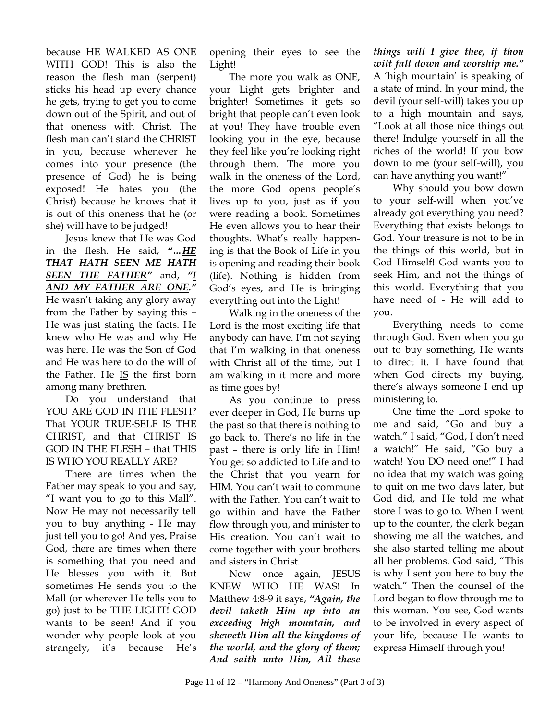because HE WALKED AS ONE WITH GOD! This is also the reason the flesh man (serpent) sticks his head up every chance he gets, trying to get you to come down out of the Spirit, and out of that oneness with Christ. The flesh man can't stand the CHRIST in you, because whenever he comes into your presence (the presence of God) he is being exposed! He hates you (the Christ) because he knows that it is out of this oneness that he (or she) will have to be judged!

Jesus knew that He was God in the flesh. He said, *"…HE THAT HATH SEEN ME HATH SEEN THE FATHER"* and, *"I AND MY FATHER ARE ONE."* He wasn't taking any glory away from the Father by saying this – He was just stating the facts. He knew who He was and why He was here. He was the Son of God and He was here to do the will of the Father. He IS the first born among many brethren.

Do you understand that YOU ARE GOD IN THE FLESH? That YOUR TRUE-SELF IS THE CHRIST, and that CHRIST IS GOD IN THE FLESH – that THIS IS WHO YOU REALLY ARE?

There are times when the Father may speak to you and say, "I want you to go to this Mall". Now He may not necessarily tell you to buy anything - He may just tell you to go! And yes, Praise God, there are times when there is something that you need and He blesses you with it. But sometimes He sends you to the Mall (or wherever He tells you to go) just to be THE LIGHT! GOD wants to be seen! And if you wonder why people look at you strangely, it's because He's

opening their eyes to see the Light!

The more you walk as ONE, your Light gets brighter and brighter! Sometimes it gets so bright that people can't even look at you! They have trouble even looking you in the eye, because they feel like you're looking right through them. The more you walk in the oneness of the Lord, the more God opens people's lives up to you, just as if you were reading a book. Sometimes He even allows you to hear their thoughts. What's really happening is that the Book of Life in you is opening and reading their book (life). Nothing is hidden from God's eyes, and He is bringing everything out into the Light!

Walking in the oneness of the Lord is the most exciting life that anybody can have. I'm not saying that I'm walking in that oneness with Christ all of the time, but I am walking in it more and more as time goes by!

As you continue to press ever deeper in God, He burns up the past so that there is nothing to go back to. There's no life in the past – there is only life in Him! You get so addicted to Life and to the Christ that you yearn for HIM. You can't wait to commune with the Father. You can't wait to go within and have the Father flow through you, and minister to His creation. You can't wait to come together with your brothers and sisters in Christ.

Now once again, JESUS KNEW WHO HE WAS! In Matthew 4:8-9 it says, *"Again, the devil taketh Him up into an exceeding high mountain, and sheweth Him all the kingdoms of the world, and the glory of them; And saith unto Him, All these* 

*things will I give thee, if thou wilt fall down and worship me."* A 'high mountain' is speaking of a state of mind. In your mind, the devil (your self-will) takes you up to a high mountain and says, "Look at all those nice things out there! Indulge yourself in all the riches of the world! If you bow down to me (your self-will), you can have anything you want!"

Why should you bow down to your self-will when you've already got everything you need? Everything that exists belongs to God. Your treasure is not to be in the things of this world, but in God Himself! God wants you to seek Him, and not the things of this world. Everything that you have need of - He will add to you.

Everything needs to come through God. Even when you go out to buy something, He wants to direct it. I have found that when God directs my buying, there's always someone I end up ministering to.

One time the Lord spoke to me and said, "Go and buy a watch." I said, "God, I don't need a watch!" He said, "Go buy a watch! You DO need one!" I had no idea that my watch was going to quit on me two days later, but God did, and He told me what store I was to go to. When I went up to the counter, the clerk began showing me all the watches, and she also started telling me about all her problems. God said, "This is why I sent you here to buy the watch." Then the counsel of the Lord began to flow through me to this woman. You see, God wants to be involved in every aspect of your life, because He wants to express Himself through you!